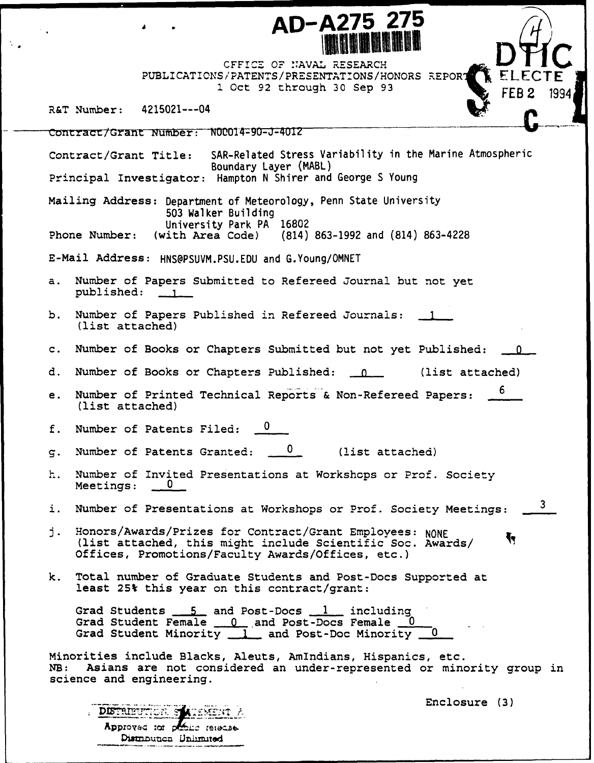CFFIC- **OF' NAVAL** RESEARCH PUBLICATIONS/PATENTS/PRESENTATIONS/HONORS REPORT 1 Oct 92 through 30 Sep 93 **FEB 2** 1994

**AD-A275 275** iUl|||l **D~ <sup>4</sup>**

R&T Number: 4215021---04

Contract/Grant Number: N00014-90-J-4012 Contract/Grant Title: SAR-Related Stress Variability in the Marine Atmospheric Boundary Layer (MABL) Principal Investigator: Hampton N Shirer and George S Young Mailing Address: Department of Meteorology, Penn State University 503 Walker Building University Park PA 16802<br>(with Area Code) (814) Phone Number: (with Area Code) (814) 863-1992 and (814) 863-4228 E-Mail Address: HNS@PSUVM.PSU.EDU and G.Young/OMNET a. Number of Papers Submitted to Refereed Journal but not yet published: **1\_** b. Number of Papers Published in Refereed Journals: **1** (list attached) c. Number of Books or Chapters Submitted but not yet Published: **0\_** d. Number of Books or Chapters Published: 1. (list attached) e. Number of Printed Technical Reports & Non-Refereed Papers: 6 (list attached) f. Number of Patents Filed:  $0$ g. Number of Patents Granted:  $\frac{0}{\sqrt{15}}$  (list attached) h. Number of Invited Presentations at Workshops or Prof. Society Meetings: 3 i. Number of Presentations at Workshops or Prof. Society Meetings: j. Honors/Awards/Prizes for Contract/Grant Employees: NONE Ť۲ (list attached, this might include Scientific Soc. Awards/ Offices, Promotions/Faculty Awards/Offices, etc.) k. Total number of Graduate Students and Post-Docs Supported at least 25% this year on this contract/grant: Grad Students 5 and Post-Docs 1 including Grad Student Female 0. **0.** and Post-Docs Female Grad Student Minority 1 and Post-Doc Minority Minorities include Blacks, Aleuts, AmIndians, Hispanics, etc. Asians are not considered an under-represented or minority group in science and engineering.

DISTRIBUTION S Approved tor people refeated Distribution Unlimited

Enclosure (3)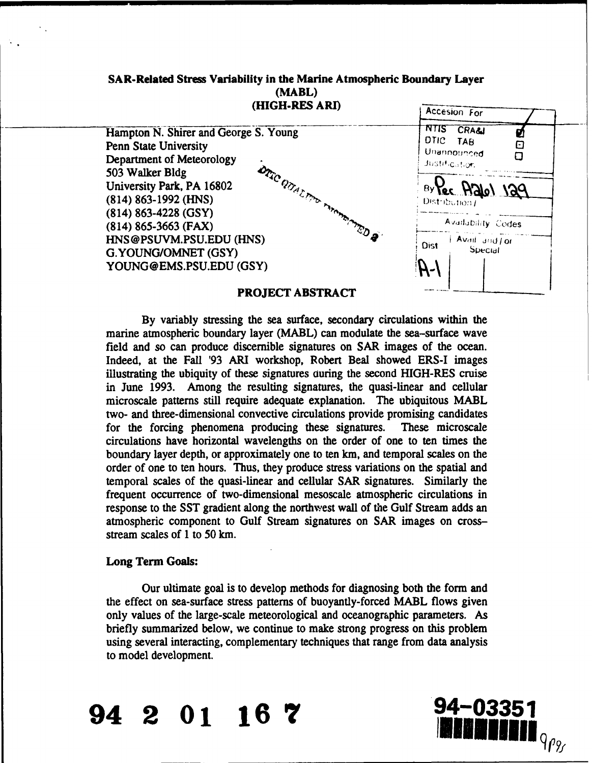# SAR-Related Stress Variability in the Marine Atmospheric Boundary Layer (MABL) (HIGH-RES ARI) *Accesion For*



## PROJECT ABSTRACT

By variably stressing the sea surface, secondary circulations within the marine atmospheric boundary layer (MABL) can modulate the sea-surface wave field and so can produce discernible signatures on SAR images of the ocean. Indeed, at the Fall '93 ARI workshop, Robert Beal showed ERS-I images illustrating the ubiquity of these signatures ouring the second HIGH-RES cruise in June 1993. Among the resulting signatures, the quasi-linear and cellular microscale patterns still require adequate explanation. The ubiquitous MABL two- and three-dimensional convective circulations provide promising candidates for the forcing phenomena producing these signatures. These microscale circulations have horizontal wavelengths on the order of one to ten times the boundary layer depth, or approximately one to ten km, and temporal scales on the order of one to ten hours. Thus, they produce stress variations on the spatial and temporal scales of the quasi-linear and cellular SAR signatures. Similarly the frequent occurrence of two-dimensional mesoscale atmospheric circulations in response to the SST gradient along the northwest wall of the Gulf Stream adds an atmospheric component to Gulf Stream signatures on SAR images on crossstream scales of 1 to 50 km.

## Long Term Goals:

Our ultimate goal is to develop methods for diagnosing both the form and the effect on sea-surface stress patterns of buoyantly-forced MABL flows given only values of the large-scale meteorological and oceanographic parameters. As briefly summarized below, we continue to make strong progress on this problem using several interacting, complementary techniques that range from data analysis to model development.

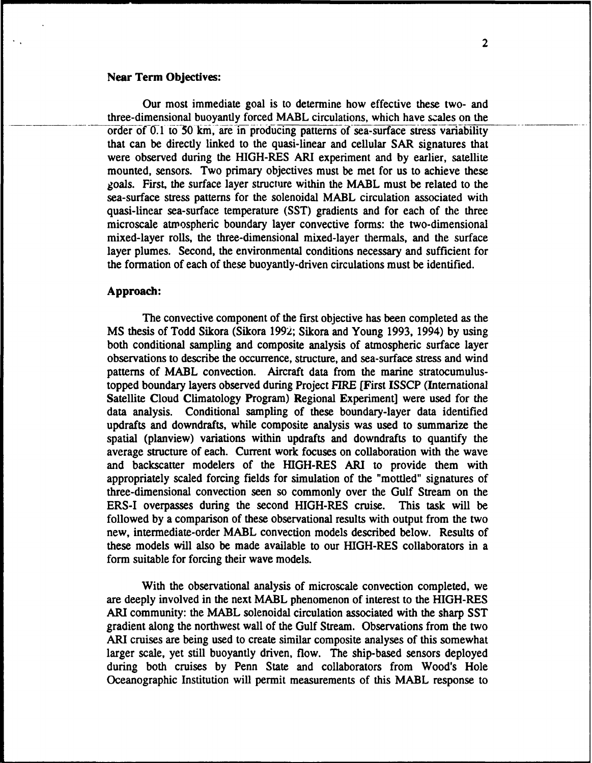## Near Term Objectives:

Our most immediate goal is to determine how effective these two- and three-dimensional buoyantly forced MABL circulations, which have scales on the order of 0.1 to 50 km, are in producing patterns of sea-surface stress variability that can be directly linked to the quasi-linear and cellular SAR signatures that were observed during the HIGH-RES ARI experiment and by earlier, satellite mounted, sensors. Two primary objectives must be met for us to achieve these goals. First, the surface layer structure within the MABL must be related to the sea-surface stress patterns for the solenoidal MABL circulation associated with quasi-linear sea-surface temperature (SST) gradients and for each of the three microscale atmospheric boundary layer convective forms: the two-dimensional mixed-layer rolls, the three-dimensional mixed-layer thermals, and the surface layer plumes. Second, the environmental conditions necessary and sufficient for the formation of each of these buoyantly-driven circulations must be identified.

## Approach:

The convective component of the first objective has been completed as the MS thesis of Todd Sikora (Sikora 1992; Sikora and Young 1993, 1994) by using both conditional sampling and composite analysis of atmospheric surface layer observations to describe the occurrence, structure, and sea-surface stress and wind patterns of MABL convection. Aircraft data from the marine stratocumulustopped boundary layers observed during Project FIRE [First ISSCP (International Satellite Cloud Climatology Program) Regional Experiment] were used for the data analysis. Conditional sampling of these boundary-layer data identified updrafts and downdrafts, while composite analysis was used to summarize the spatial (planview) variations within updrafts and downdrafts to quantify the average structure of each. Current work focuses on collaboration with the wave and backscatter modelers of the HIGH-RES ARI to provide them with appropriately scaled forcing fields for simulation of the "mottled" signatures of three-dimensional convection seen so commonly over the Gulf Stream on the ERS-I overpasses during the second HIGH-RES cruise. This task will be followed by a comparison of these observational results with output from the two new, intermediate-order MABL convection models described below. Results of these models will also be made available to our HIGH-RES collaborators in a form suitable for forcing their wave models.

With the observational analysis of microscale convection completed, we are deeply involved in the next MABL phenomenon of interest to the HIGH-RES ARI community: the MABL solenoidal circulation associated with the sharp SST gradient along the northwest wall of the Gulf Stream. Observations from the two ARI cruises are being used to create similar composite analyses of this somewhat larger scale, yet still buoyantly driven, flow. The ship-based sensors deployed during both cruises by Penn State and collaborators from Wood's Hole Oceanographic Institution will permit measurements of this MABL response to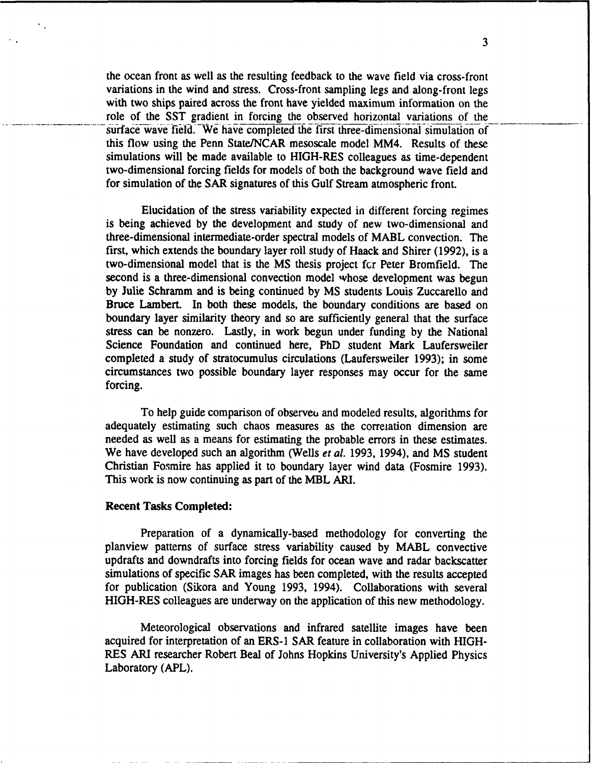the ocean front as well as the resulting feedback to the wave field via cross-front variations in the wind and stress. Cross-front sampling legs and along-front legs with two ships paired across the front have yielded maximum information on the role of the SST gradient in forcing the observed horizontal variations of the surface wave field. We have completed the first three-dimensional simulation of this flow using the Penn State/NCAR mesoscale model MM4. Results of these simulations will be made available to HIGH-RES colleagues as time-dependent two-dimensional forcing fields for models of both the background wave field and for simulation of the SAR signatures of this Gulf Stream atmospheric front.

Elucidation of the stress variability expected in different forcing regimes is being achieved by the development and study of new two-dimensional and three-dimensional intermediate-order spectral models of MABL convection. The first, which extends the boundary layer roll study of Haack and Shirer (1992), is a two-dimensional model that is the MS thesis project fcr Peter Bromfield. The second is a three-dimensional convection model whose development was begun by Julie Schramm and is being continued by MS students Louis Zuccarello and Bruce Lambert. In both these models, the boundary conditions are based on boundary layer similarity theory and so are sufficiently general that the surface stress can be nonzero. Lastly, in work begun under funding by the National Science Foundation and continued here, PhD student Mark Laufersweiler completed a study of stratocumulus circulations (Laufersweiler 1993); in some circumstances two possible boundary layer responses may occur for the same forcing.

To help guide comparison of observeu and modeled results, algorithms for adequately estimating such chaos measures as the correlation dimension are needed as well as a means for estimating the probable errors in these estimates. We have developed such an algorithm (Wells *et al.* 1993, 1994), and MS student Christian Fosmire has applied it to boundary layer wind data (Fosmire 1993). This work is now continuing as part of the MBL ARI.

#### Recent Tasks Completed:

Preparation of a dynamically-based methodology for converting the planview patterns of surface stress variability caused by MABL convective updrafts and downdrafts into forcing fields for ocean wave and radar backscatter simulations of specific SAR images has been completed, with the results accepted for publication (Sikora and Young 1993, 1994). Collaborations with several HIGH-RES colleagues are underway on the application of this new methodology.

Meteorological observations and infrared satellite images have been acquired for interpretation of an ERS-1 SAR feature in collaboration with HIGH-RES ARI researcher Robert Beal of Johns Hopkins University's Applied Physics Laboratory (APL).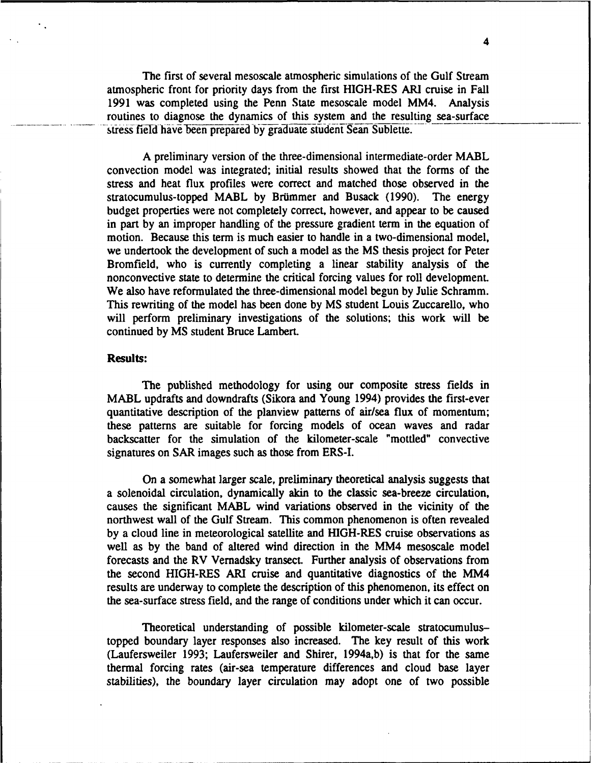The first of several mesoscale atmospheric simulations of the Gulf Stream atmospheric front for priority days from the first HIGH-RES ARI cruise in Fall 1991 was completed using the Penn State mesoscale model MM4. Analysis routines to diagnose the dynamics of this system and the resulting sea-surface stress field have been prepared by graduate student Sean Sublette.

A preliminary version of the three-dimensional intermediate-order MABL convection model was integrated; initial results showed that the forms of the stress and heat flux profiles were correct and matched those observed in the stratocumulus-topped MABL by Brümmer and Busack (1990). The energy budget properties were not completely correct, however, and appear to be caused in part by an improper handling of the pressure gradient term in the equation of motion. Because this term is much easier to handle in a two-dimensional model, we undertook the development of such a model as the MS thesis project for Peter Bromfield, who is currently completing a linear stability analysis of the nonconvective state to determine the critical forcing values for roll development. We also have reformulated the three-dimensional model begun by Julie Schramm. This rewriting of the model has been done by MS student Louis Zuccarello, who will perform preliminary investigations of the solutions; this work will be continued by MS student Bruce Lambert.

## Results:

The published methodology for using our composite stress fields in MABL updrafts and downdrafts (Sikora and Young 1994) provides the first-ever quantitative description of the planview patterns of air/sea flux of momentum; these patterns are suitable for forcing models of ocean waves and radar backscatter for the simulation of the kilometer-scale "mottled" convective signatures on SAR images such as those from ERS-I.

On a somewhat larger scale, preliminary theoretical analysis suggests that a solenoidal circulation, dynamically akin to the classic sea-breeze circulation, causes the significant MABL wind variations observed in the vicinity of the northwest wall of the Gulf Stream. This common phenomenon is often revealed by a cloud line in meteorological satellite and HIGH-RES cruise observations as well as by the band of altered wind direction in the MM4 mesoscale model forecasts and the RV Vernadsky transect. Further analysis of observations from the second HIGH-RES ARI cruise and quantitative diagnostics of the MM4 results are underway to complete the description of this phenomenon, its effect on the sea-surface stress field, and the range of conditions under which it can occur.

Theoretical understanding of possible kilometer-scale stratocumulustopped boundary layer responses also increased. The key result of this work (Laufersweiler 1993; Laufersweiler and Shirer, 1994a,b) is that for the same thermal forcing rates (air-sea temperature differences and cloud base layer stabilities), the boundary layer circulation may adopt one of two possible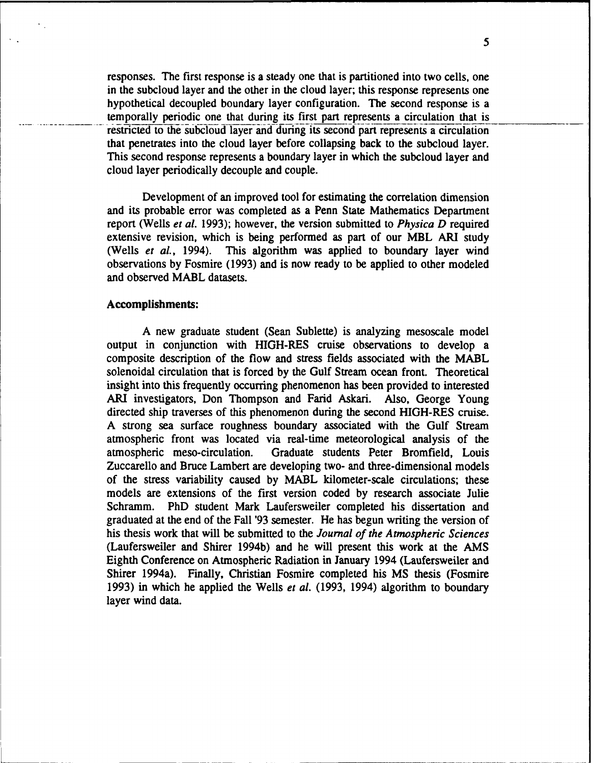responses. The first response is a steady one that is partitioned into two cells, one in the subcloud layer and the other in the cloud layer; this response represents one hypothetical decoupled boundary layer configuration. The second response is a temporally periodic one that during its first part represents a circulation that is restricted to the subcloud layer and during its second part represents a circulation that penetrates into the cloud layer before collapsing back to the subcloud layer. This second response represents a boundary layer in which the subcloud layer and cloud layer periodically decouple and couple.

Development of an improved tool for estimating the correlation dimension and its probable error was completed as a Penn State Mathematics Department report (Wells *et al.* 1993); however, the version submitted to *Physica D* required extensive revision, which is being performed as part of our MBL ARI study (Wells *et al.,* 1994). This algorithm was applied to boundary layer wind observations by Fosmire (1993) and is now ready to be applied to other modeled and observed MABL datasets.

## Accomplishments:

A new graduate student (Sean Sublette) is analyzing mesoscale model output in conjunction with HIGH-RES cruise observations to develop a composite description of the flow and stress fields associated with the MABL solenoidal circulation that is forced by the Gulf Stream ocean front. Theoretical insight into this frequently occurring phenomenon has been provided to interested ARI investigators, Don Thompson and Farid Askari. Also, George Young directed ship traverses of this phenomenon during the second HIGH-RES cruise. A strong sea surface roughness boundary associated with the Gulf Stream atmospheric front was located via real-time meteorological analysis of the atmospheric meso-circulation. Graduate students Peter Bromfield, Louis Zuccarello and Bruce Lambert are developing two- and three-dimensional models of the stress variability caused by MABL kilometer-scale circulations; these models are extensions of the first version coded by research associate Julie Schramm. PhD student Mark Laufersweiler completed his dissertation and graduated at the end of the Fall '93 semester. He has begun writing the version of his thesis work that will be submitted to the *Journal of the Atmospheric Sciences* (Laufersweiler and Shirer 1994b) and he will present this work at the AMS Eighth Conference on Atmospheric Radiation in January 1994 (Laufersweiler and Shirer 1994a). Finally, Christian Fosmire completed his MS thesis (Fosmire 1993) in which he applied the Wells *et al.* (1993, 1994) algorithm to boundary layer wind data.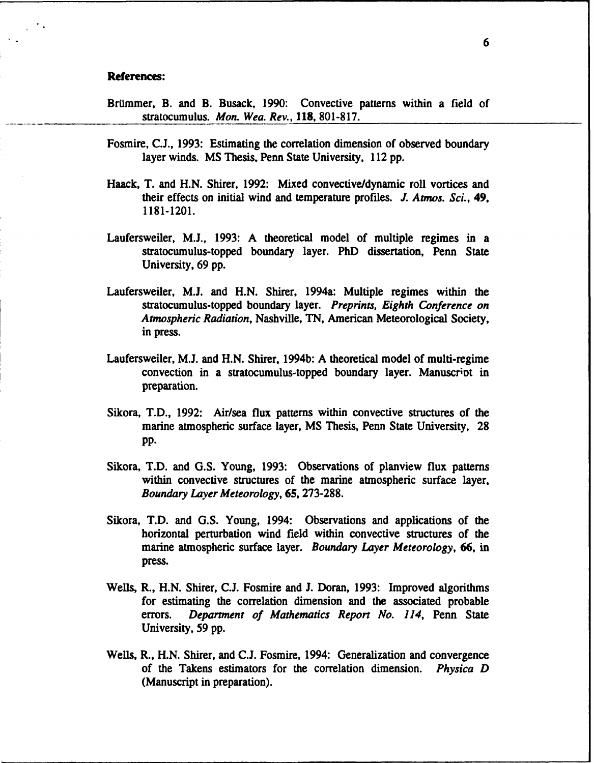## References:

- Brümmer, B. and B. Busack, 1990: Convective patterns within a field of stratocumulus. *Mon. Wea. Rev.,* 118, 801-817.
- Fosmire, C.J., 1993: Estimating the correlation dimension of observed boundary layer winds. MS Thesis, Penn State University, 112 pp.
- Haack, T. and H.N. Shirer, 1992: Mixed convective/dynamic roll vortices and their effects on initial wind and temperature profiles. *J. Atmos. Sci., 49,* 1181-1201.
- Laufersweiler, M.J., 1993: A theoretical model of multiple regimes in a stratocumulus-topped boundary layer. PhD dissertation, Penn State University, 69 pp.
- Laufersweiler, M.J. and H.N. Shirer, 1994a: Multiple regimes within the stratocumulus-topped boundary layer. *Preprints, Eighth Conference on Atmospheric Radiation,* Nashville, TN, American Meteorological Society, in press.
- Laufersweiler, M.J. and H.N. Shirer, 1994b: A theoretical model of multi-regime convection in a stratocumulus-topped boundary layer. Manuscriot in preparation.
- Sikora, T.D., 1992: Air/sea flux patterns within convective structures of the marine atmospheric surface layer, MS Thesis, Penn State University, 28 pp.
- Sikora, T.D. and G.S. Young, 1993: Observations of planview flux patterns within convective structures of the marine atmospheric surface layer, *Boundary Layer Meteorology,* 65, 273-288.
- Sikora, T.D. and G.S. Young, 1994: Observations and applications of the horizontal perturbation wind field within convective structures of the marine atmospheric surface layer. *Boundary Layer Meteorology,* 66, in press.
- Wells, R., H.N. Shirer, C.J. Fosmire and *3.* Doran, 1993: Improved algorithms for estimating the correlation dimension and the associated probable errors. *Department of Mathematics Report No. 114,* Penn State University, 59 pp.
- Wells, R., H.N. Shirer, and C.J. Fosmire, 1994: Generalization and convergence of the Takens estimators for the correlation dimension. *Physica D* (Manuscript in preparation).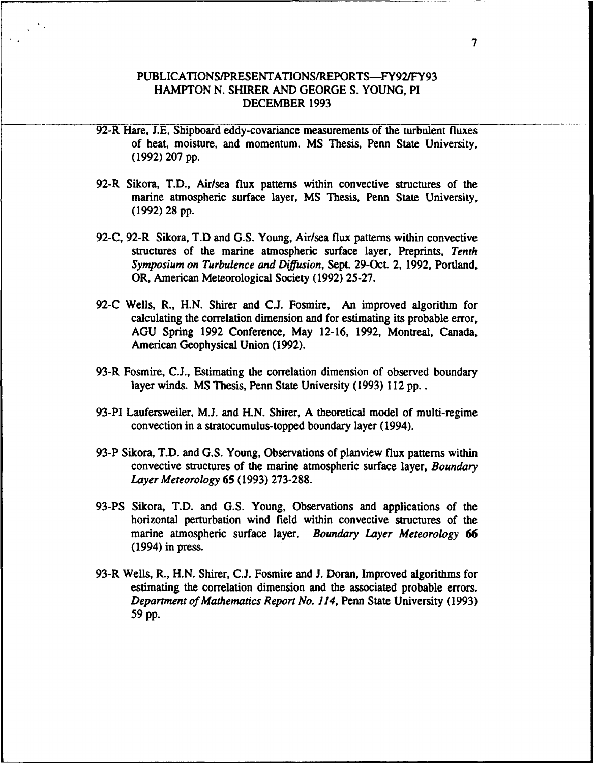## PUBLICATIONS/PRESENTATIONS/REPORTS-FY92/FY93 HAMPTON N. SHIRER AND GEORGE S. YOUNG, PI DECEMBER 1993

- 92-R Hare, J.E, Shipboard eddy-covariance measurements of the turbulent fluxes of heat, moisture, and momentum. MS Thesis, Penn State University, (1992) 207 pp.
- 92-R Sikora, T.D., Air/sea flux patterns within convective structures of the marine atmospheric surface layer, MS Thesis, Penn State University, (1992) 28 pp.
- 92-C, 92-R Sikora, T.D and G.S. Young, Air/sea flux patterns within convective structures of the marine atmospheric surface layer, Preprints, Tenth *Symposium on Turbulence and Diffusion,* Sept. 29-Oct. 2, 1992, Portland, OR, American Meteorological Society (1992) 25-27.
- 92-C Wells, R., H.N. Shirer and C.J. Fosmire, An improved algorithm for calculating the correlation dimension and for estimating its probable error, AGU Spring 1992 Conference, May 12-16, 1992, Montreal, Canada, American Geophysical Union (1992).
- 93-R Fosmire, C.J., Estimating the correlation dimension of observed boundary layer winds. MS Thesis, Penn State University (1993) 112 pp...
- 93-PI Laufersweiler, M.J. and H.N. Shirer, A theoretical model of multi-regime convection in a stratocumulus-topped boundary layer (1994).
- 93-P Sikora, T.D. and G.S. Young, Observations of planview flux patterns within convective structures of the marine atmospheric surface layer, *Boundary Layer Meteorology* 65 (1993) 273-288.
- 93-PS Sikora, T.D. and G.S. Young, Observations and applications of the horizontal perturbation wind field within convective structures of the marine atmospheric surface layer. *Boundary Layer Meteorology* **66** (1994) in press.
- 93-R Wells, R., H.N. Shirer, C.J. Fosmire and J. Doran, Improved algorithms for estimating the correlation dimension and the associated probable errors. *Department of Mathematics Report No. 114,* Penn State University (1993) 59 pp.